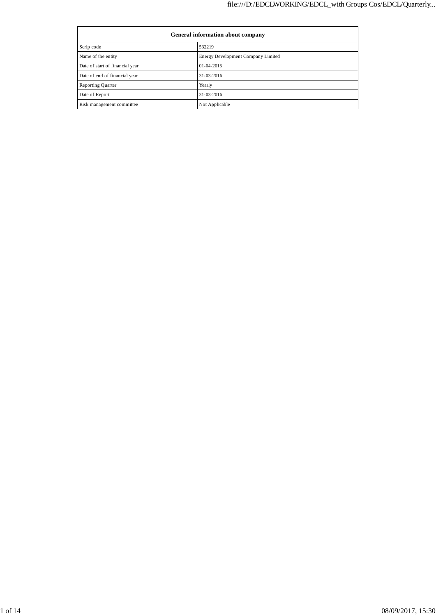| General information about company |                                    |  |  |  |
|-----------------------------------|------------------------------------|--|--|--|
| Scrip code                        | 532219                             |  |  |  |
| Name of the entity                | Energy Development Company Limited |  |  |  |
| Date of start of financial year   | $01-04-2015$                       |  |  |  |
| Date of end of financial year     | 31-03-2016                         |  |  |  |
| <b>Reporting Quarter</b>          | Yearly                             |  |  |  |
| Date of Report                    | 31-03-2016                         |  |  |  |
| Risk management committee         | Not Applicable                     |  |  |  |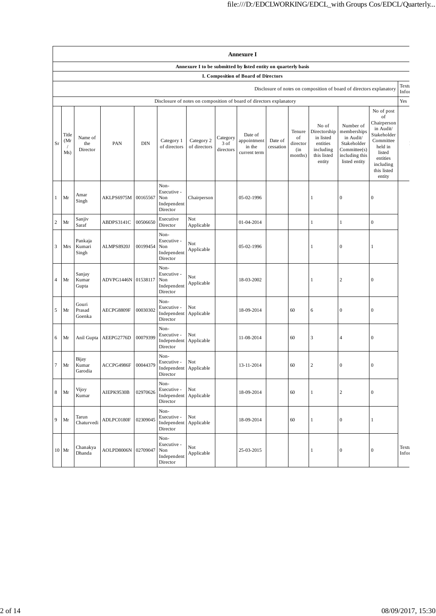|                | <b>Annexure I</b>                                                    |                            |                       |            |                                                                      |                            |                               |                                                  |                      |                                            |                                                                                      |                                                                                                         |                                                                                                                                                 |                |
|----------------|----------------------------------------------------------------------|----------------------------|-----------------------|------------|----------------------------------------------------------------------|----------------------------|-------------------------------|--------------------------------------------------|----------------------|--------------------------------------------|--------------------------------------------------------------------------------------|---------------------------------------------------------------------------------------------------------|-------------------------------------------------------------------------------------------------------------------------------------------------|----------------|
|                | Annexure I to be submitted by listed entity on quarterly basis       |                            |                       |            |                                                                      |                            |                               |                                                  |                      |                                            |                                                                                      |                                                                                                         |                                                                                                                                                 |                |
|                | I. Composition of Board of Directors                                 |                            |                       |            |                                                                      |                            |                               |                                                  |                      |                                            |                                                                                      |                                                                                                         |                                                                                                                                                 |                |
|                | Disclosure of notes on composition of board of directors explanatory |                            |                       |            |                                                                      |                            | Textu<br>Infor                |                                                  |                      |                                            |                                                                                      |                                                                                                         |                                                                                                                                                 |                |
|                |                                                                      |                            |                       |            | Disclosure of notes on composition of board of directors explanatory |                            |                               |                                                  |                      |                                            |                                                                                      |                                                                                                         |                                                                                                                                                 | Yes            |
| Sr             | Title<br>(Mr<br>Ms)                                                  | Name of<br>the<br>Director | PAN                   | <b>DIN</b> | Category 1<br>of directors                                           | Category 2<br>of directors | Category<br>3 of<br>directors | Date of<br>appointment<br>in the<br>current term | Date of<br>cessation | Tenure<br>of<br>director<br>(in<br>months) | No of<br>Directorship<br>in listed<br>entities<br>including<br>this listed<br>entity | Number of<br>memberships<br>in Audit/<br>Stakeholder<br>Committee(s)<br>including this<br>listed entity | No of post<br>of<br>Chairperson<br>in Audit/<br>Stakeholder<br>Committee<br>held in<br>listed<br>entities<br>including<br>this listed<br>entity |                |
| $\mathbf{1}$   | Mr                                                                   | Amar<br>Singh              | AKLPS6975M            | 00165567   | Non-<br>Executive -<br>Non<br>Independent<br>Director                | Chairperson                |                               | 05-02-1996                                       |                      |                                            | -1                                                                                   | $\boldsymbol{0}$                                                                                        | $\boldsymbol{0}$                                                                                                                                |                |
| $\sqrt{2}$     | Mr                                                                   | Sanjiv<br>Saraf            | ABDPS3141C            | 00506650   | Executive<br>Director                                                | Not<br>Applicable          |                               | 01-04-2014                                       |                      |                                            | 1                                                                                    | $\mathbf{1}$                                                                                            | $\boldsymbol{0}$                                                                                                                                |                |
| $\mathfrak z$  | Mrs                                                                  | Pankaja<br>Kumari<br>Singh | ALMPS8920J            | 00199454   | Non-<br>Executive -<br>Non<br>Independent<br>Director                | Not<br>Applicable          |                               | 05-02-1996                                       |                      |                                            | -1                                                                                   | $\boldsymbol{0}$                                                                                        | $\mathbf{1}$                                                                                                                                    |                |
| $\overline{4}$ | Mr                                                                   | Sanjay<br>Kumar<br>Gupta   | ADVPG1446N 01538117   |            | Non-<br>Executive -<br>Non<br>Independent<br>Director                | Not<br>Applicable          |                               | 18-03-2002                                       |                      |                                            | -1                                                                                   | $\sqrt{2}$                                                                                              | $\boldsymbol{0}$                                                                                                                                |                |
| 5              | Mr                                                                   | Gouri<br>Prasad<br>Goenka  | AECPG8809F            | 00030302   | Non-<br>Executive -<br>Independent<br>Director                       | Not<br>Applicable          |                               | 18-09-2014                                       |                      | 60                                         | 6                                                                                    | $\boldsymbol{0}$                                                                                        | $\boldsymbol{0}$                                                                                                                                |                |
| 6              | Mr                                                                   |                            | Anil Gupta AEEPG2776D | 00079399   | Non-<br>Executive -<br>Independent<br>Director                       | Not<br>Applicable          |                               | 11-08-2014                                       |                      | 60                                         | 3                                                                                    | $\overline{4}$                                                                                          | $\boldsymbol{0}$                                                                                                                                |                |
| $\tau$         | Mr                                                                   | Bijay<br>Kumar<br>Garodia  | ACCPG4986F            | 00044379   | Non-<br>Executive -<br>Independent Applicable<br>Director            | Not                        |                               | 13-11-2014                                       |                      | 60                                         | $\overline{c}$                                                                       | $\boldsymbol{0}$                                                                                        | $\boldsymbol{0}$                                                                                                                                |                |
| $\,8\,$        | Mr                                                                   | Vijoy<br>Kumar             | AIEPK9530B            | 02970626   | Non-<br>Executive -<br>Independent<br>Director                       | Not<br>Applicable          |                               | 18-09-2014                                       |                      | 60                                         | 1                                                                                    | $\sqrt{2}$                                                                                              | $\boldsymbol{0}$                                                                                                                                |                |
| 9              | Mr                                                                   | Tarun<br>Chaturvedi        | ADLPC0180F            | 02309045   | Non-<br>Executive -<br>Independent<br>Director                       | Not<br>Applicable          |                               | 18-09-2014                                       |                      | 60                                         | 1                                                                                    | $\boldsymbol{0}$                                                                                        | $\mathbf{1}$                                                                                                                                    |                |
|                | $10$ Mr                                                              | Chanakya<br>Dhanda         | AOLPD8006N            | 02709047   | Non-<br>Executive -<br>Non<br>Independent<br>Director                | Not<br>Applicable          |                               | 25-03-2015                                       |                      |                                            | 1                                                                                    | $\boldsymbol{0}$                                                                                        | $\boldsymbol{0}$                                                                                                                                | Textu<br>Infor |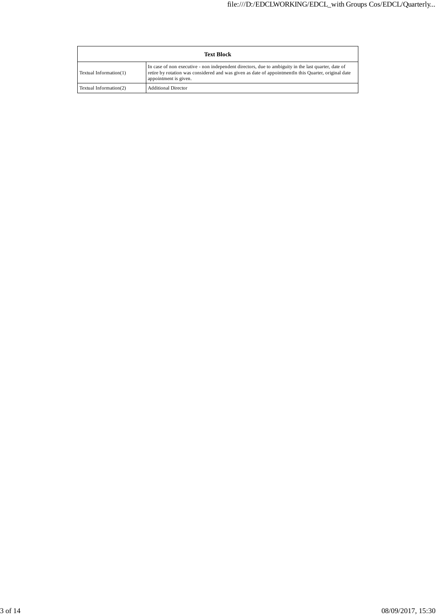| <b>Text Block</b>      |                                                                                                                                                                                                                                       |  |  |  |
|------------------------|---------------------------------------------------------------------------------------------------------------------------------------------------------------------------------------------------------------------------------------|--|--|--|
| Textual Information(1) | In case of non executive - non independent directors, due to ambiguity in the last quarter, date of<br>retire by rotation was considered and was given as date of appointment in this Quarter, original date<br>appointment is given. |  |  |  |
| Textual Information(2) | <b>Additional Director</b>                                                                                                                                                                                                            |  |  |  |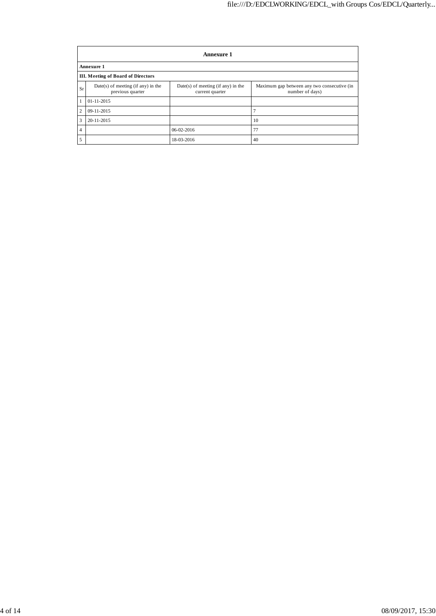|                                           | <b>Annexure 1</b>                                        |                                                         |                                                                |  |  |  |
|-------------------------------------------|----------------------------------------------------------|---------------------------------------------------------|----------------------------------------------------------------|--|--|--|
|                                           | Annexure 1                                               |                                                         |                                                                |  |  |  |
| <b>III. Meeting of Board of Directors</b> |                                                          |                                                         |                                                                |  |  |  |
| Sr                                        | $Date(s)$ of meeting (if any) in the<br>previous quarter | $Date(s)$ of meeting (if any) in the<br>current quarter | Maximum gap between any two consecutive (in<br>number of days) |  |  |  |
| $\mathbf{1}$                              | $01 - 11 - 2015$                                         |                                                         |                                                                |  |  |  |
| $\overline{c}$                            | 09-11-2015                                               |                                                         |                                                                |  |  |  |
| 3                                         | 20-11-2015                                               |                                                         | 10                                                             |  |  |  |
| $\overline{4}$                            |                                                          | $06-02-2016$                                            | 77                                                             |  |  |  |
| 5                                         |                                                          | 18-03-2016                                              | 40                                                             |  |  |  |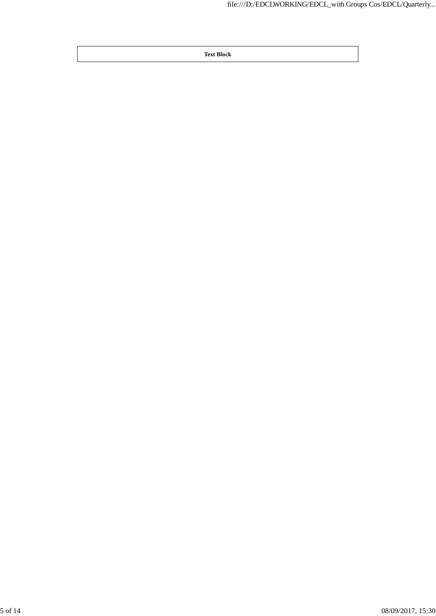**Text Block**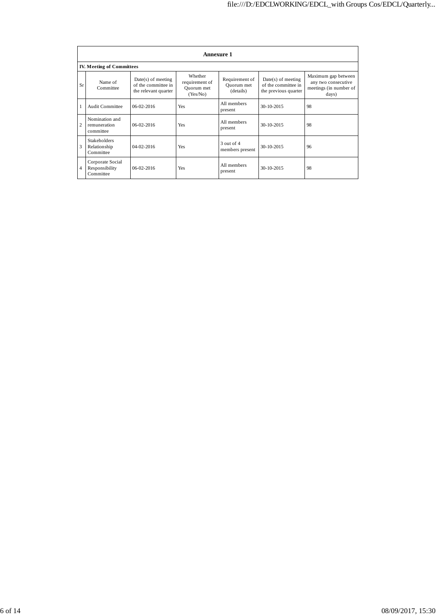|                | <b>Annexure 1</b>                                |                                                                     |                                                     |                                           |                                                                     |                                                                               |
|----------------|--------------------------------------------------|---------------------------------------------------------------------|-----------------------------------------------------|-------------------------------------------|---------------------------------------------------------------------|-------------------------------------------------------------------------------|
|                | <b>IV. Meeting of Committees</b>                 |                                                                     |                                                     |                                           |                                                                     |                                                                               |
| Sr             | Name of<br>Committee                             | $Date(s)$ of meeting<br>of the committee in<br>the relevant quarter | Whether<br>requirement of<br>Quorum met<br>(Yes/No) | Requirement of<br>Quorum met<br>(details) | $Date(s)$ of meeting<br>of the committee in<br>the previous quarter | Maximum gap between<br>any two consecutive<br>meetings (in number of<br>days) |
| 1              | <b>Audit Committee</b>                           | $06-02-2016$                                                        | Yes                                                 | All members<br>present                    | 30-10-2015                                                          | 98                                                                            |
| $\overline{c}$ | Nomination and<br>remuneration<br>committee      | $06-02-2016$                                                        | Yes                                                 | All members<br>present                    | 30-10-2015                                                          | 98                                                                            |
| 3              | <b>Stakeholders</b><br>Relationship<br>Committee | $04 - 02 - 2016$                                                    | Yes                                                 | $3$ out of $4$<br>members present         | 30-10-2015                                                          | 96                                                                            |
| 4              | Corporate Social<br>Responsibility<br>Committee  | $06-02-2016$                                                        | Yes                                                 | All members<br>present                    | 30-10-2015                                                          | 98                                                                            |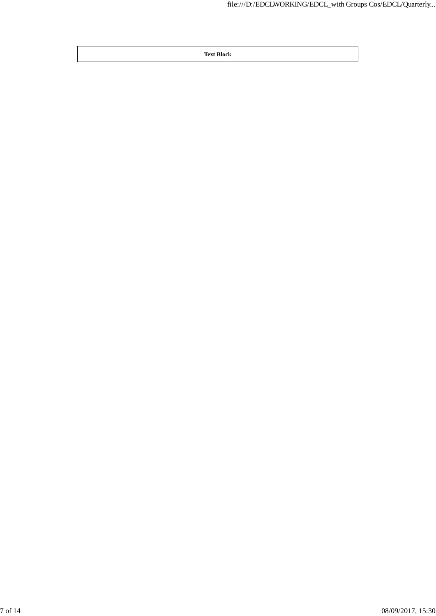**Text Block**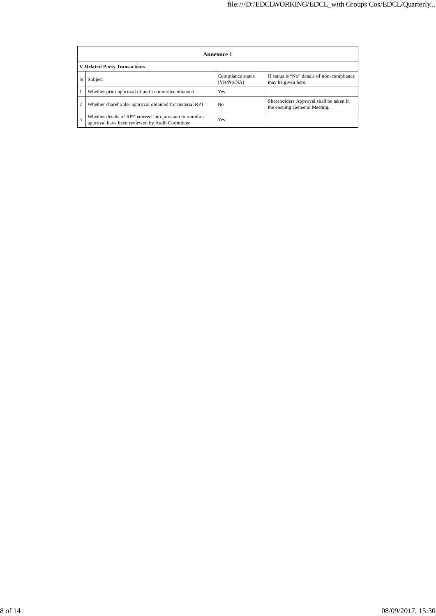|                | Annexure 1                                                                                                |                                  |                                                                          |  |  |  |
|----------------|-----------------------------------------------------------------------------------------------------------|----------------------------------|--------------------------------------------------------------------------|--|--|--|
|                | V. Related Party Transactions                                                                             |                                  |                                                                          |  |  |  |
| <b>Sr</b>      | Subject                                                                                                   | Compliance status<br>(Yes/No/NA) | If status is "No" details of non-compliance<br>may be given here.        |  |  |  |
|                | Whether prior approval of audit committee obtained                                                        | Yes                              |                                                                          |  |  |  |
| $\overline{2}$ | Whether shareholder approval obtained for material RPT                                                    | No                               | Shareholders Approval shall be taken in<br>the ensuing Geneeral Meeting. |  |  |  |
| $\overline{3}$ | Whether details of RPT entered into pursuant to omnibus<br>approval have been reviewed by Audit Committee | Yes                              |                                                                          |  |  |  |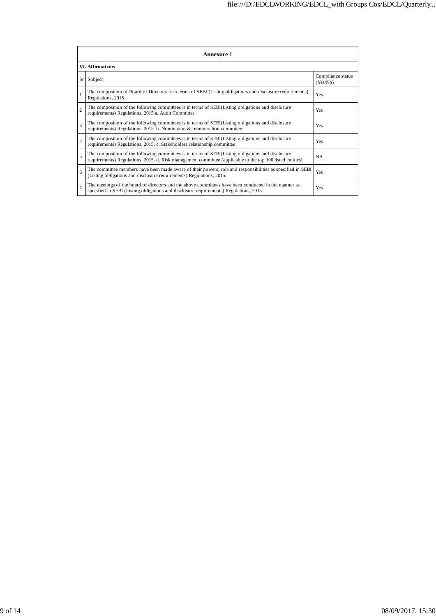|                | Annexure 1                                                                                                                                                                                                      |                               |  |  |  |
|----------------|-----------------------------------------------------------------------------------------------------------------------------------------------------------------------------------------------------------------|-------------------------------|--|--|--|
|                | <b>VI.</b> Affirmations                                                                                                                                                                                         |                               |  |  |  |
|                | Sr Subject                                                                                                                                                                                                      | Compliance status<br>(Yes/No) |  |  |  |
| $\mathbf{1}$   | The composition of Board of Directors is in terms of SEBI (Listing obligations and disclosure requirements)<br>Regulations, 2015                                                                                | Yes                           |  |  |  |
| $\overline{2}$ | The composition of the following committees is in terms of SEBI(Listing obligations and disclosure<br>requirements) Regulations, 2015 a. Audit Committee                                                        | Yes                           |  |  |  |
| $\overline{3}$ | The composition of the following committees is in terms of SEBI(Listing obligations and disclosure<br>requirements) Regulations, 2015. b. Nomination & remuneration committee                                   | Yes                           |  |  |  |
| $\overline{4}$ | The composition of the following committees is in terms of SEBI(Listing obligations and disclosure<br>requirements) Regulations, 2015. c. Stakeholders relationship committee                                   | Yes                           |  |  |  |
| 5              | The composition of the following committees is in terms of SEBI(Listing obligations and disclosure<br>requirements) Regulations, 2015. d. Risk management committee (applicable to the top 100 listed entities) | <b>NA</b>                     |  |  |  |
| 6              | The committee members have been made aware of their powers, role and responsibilities as specified in SEBI<br>(Listing obligations and disclosure requirements) Regulations, 2015.                              | Yes                           |  |  |  |
| $\overline{7}$ | The meetings of the board of directors and the above committees have been conducted in the manner as<br>specified in SEBI (Listing obligations and disclosure requirements) Regulations, 2015.                  | Yes                           |  |  |  |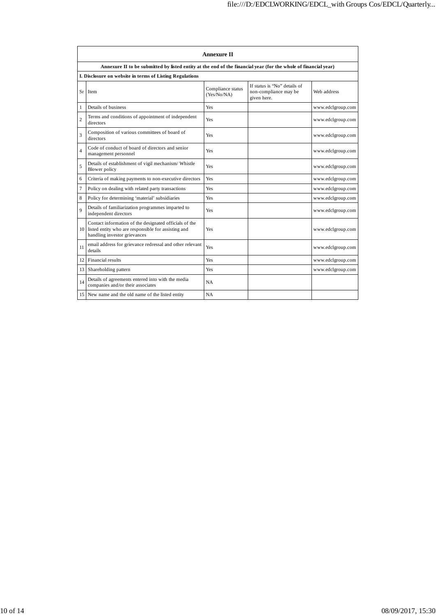|                         | <b>Annexure II</b>                                                                                                                            |                                  |                                                                      |                   |  |
|-------------------------|-----------------------------------------------------------------------------------------------------------------------------------------------|----------------------------------|----------------------------------------------------------------------|-------------------|--|
|                         | Annexure II to be submitted by listed entity at the end of the financial year (for the whole of financial year)                               |                                  |                                                                      |                   |  |
|                         | I. Disclosure on website in terms of Listing Regulations                                                                                      |                                  |                                                                      |                   |  |
| Sr                      | Item                                                                                                                                          | Compliance status<br>(Yes/No/NA) | If status is "No" details of<br>non-compliance may be<br>given here. | Web address       |  |
| $\mathbf{1}$            | Details of business                                                                                                                           | Yes                              |                                                                      | www.edclgroup.com |  |
| $\overline{c}$          | Terms and conditions of appointment of independent<br>directors                                                                               | Yes                              |                                                                      | www.edclgroup.com |  |
| $\overline{\mathbf{3}}$ | Composition of various committees of board of<br>directors                                                                                    | Yes                              |                                                                      | www.edclgroup.com |  |
| $\overline{4}$          | Code of conduct of board of directors and senior<br>management personnel                                                                      | Yes                              |                                                                      | www.edclgroup.com |  |
| 5                       | Details of establishment of vigil mechanism/ Whistle<br><b>Blower</b> policy                                                                  | Yes                              |                                                                      | www.edclgroup.com |  |
| 6                       | Criteria of making payments to non-executive directors                                                                                        | Yes                              |                                                                      | www.edclgroup.com |  |
| $\overline{7}$          | Policy on dealing with related party transactions                                                                                             | Yes                              |                                                                      | www.edclgroup.com |  |
| 8                       | Policy for determining 'material' subsidiaries                                                                                                | Yes                              |                                                                      | www.edclgroup.com |  |
| $\overline{Q}$          | Details of familiarization programmes imparted to<br>independent directors                                                                    | Yes                              |                                                                      | www.edclgroup.com |  |
| 10                      | Contact information of the designated officials of the<br>listed entity who are responsible for assisting and<br>handling investor grievances | Yes                              |                                                                      | www.edclgroup.com |  |
| 11                      | email address for grievance redressal and other relevant<br>details                                                                           | Yes                              |                                                                      | www.edclgroup.com |  |
|                         | 12 Financial results                                                                                                                          | Yes                              |                                                                      | www.edclgroup.com |  |
| 13                      | Shareholding pattern                                                                                                                          | Yes                              |                                                                      | www.edclgroup.com |  |
| 14                      | Details of agreements entered into with the media<br>companies and/or their associates                                                        | NA                               |                                                                      |                   |  |
|                         | 15 New name and the old name of the listed entity                                                                                             | NA                               |                                                                      |                   |  |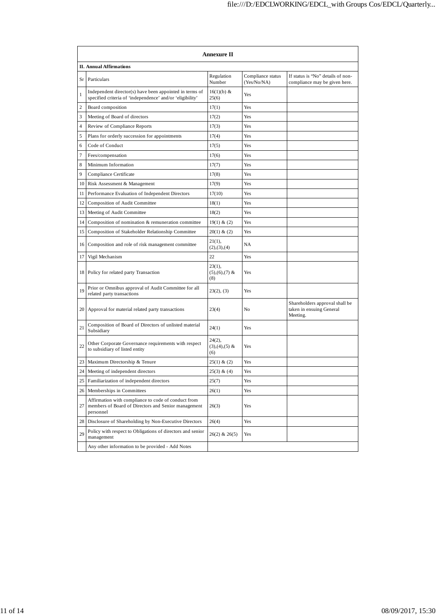|                  | <b>Annexure II</b>                                                                                                      |                                     |                                  |                                                                        |  |
|------------------|-------------------------------------------------------------------------------------------------------------------------|-------------------------------------|----------------------------------|------------------------------------------------------------------------|--|
|                  | <b>II. Annual Affirmations</b>                                                                                          |                                     |                                  |                                                                        |  |
| Sr               | Particulars                                                                                                             | Regulation<br>Number                | Compliance status<br>(Yes/No/NA) | If status is "No" details of non-<br>compliance may be given here.     |  |
| $\mathbf{1}$     | Independent director(s) have been appointed in terms of<br>specified criteria of 'independence' and/or 'eligibility'    | $16(1)(b)$ &<br>25(6)               | Yes                              |                                                                        |  |
| 2                | Board composition                                                                                                       | 17(1)                               | Yes                              |                                                                        |  |
| 3                | Meeting of Board of directors                                                                                           | 17(2)                               | Yes                              |                                                                        |  |
| $\overline{4}$   | Review of Compliance Reports                                                                                            | 17(3)                               | Yes                              |                                                                        |  |
| 5                | Plans for orderly succession for appointments                                                                           | 17(4)                               | Yes                              |                                                                        |  |
| 6                | Code of Conduct                                                                                                         | 17(5)                               | Yes                              |                                                                        |  |
| $\boldsymbol{7}$ | Fees/compensation                                                                                                       | 17(6)                               | Yes                              |                                                                        |  |
| 8                | Minimum Information                                                                                                     | 17(7)                               | Yes                              |                                                                        |  |
| 9                | Compliance Certificate                                                                                                  | 17(8)                               | Yes                              |                                                                        |  |
| 10               | Risk Assessment & Management                                                                                            | 17(9)                               | Yes                              |                                                                        |  |
| 11               | Performance Evaluation of Independent Directors                                                                         | 17(10)                              | Yes                              |                                                                        |  |
| 12               | Composition of Audit Committee                                                                                          | 18(1)                               | Yes                              |                                                                        |  |
| 13               | Meeting of Audit Committee                                                                                              | 18(2)                               | Yes                              |                                                                        |  |
| 14               | Composition of nomination & remuneration committee                                                                      | 19(1) & (2)                         | Yes                              |                                                                        |  |
| 15               | Composition of Stakeholder Relationship Committee                                                                       | 20(1) & (2)                         | Yes                              |                                                                        |  |
| 16               | Composition and role of risk management committee                                                                       | 21(1),<br>(2), (3), (4)             | NA                               |                                                                        |  |
| 17               | Vigil Mechanism                                                                                                         | 22                                  | Yes                              |                                                                        |  |
|                  | 18 Policy for related party Transaction                                                                                 | $23(1)$ ,<br>$(5),(6),(7)$ &<br>(8) | Yes                              |                                                                        |  |
| 19               | Prior or Omnibus approval of Audit Committee for all<br>related party transactions                                      | 23(2), (3)                          | Yes                              |                                                                        |  |
| 20               | Approval for material related party transactions                                                                        | 23(4)                               | N <sub>0</sub>                   | Shareholders approval shall be<br>taken in ensuing General<br>Meeting. |  |
| 21               | Composition of Board of Directors of unlisted material<br>Subsidiary                                                    | 24(1)                               | Yes                              |                                                                        |  |
| 22               | Other Corporate Governance requirements with respect<br>to subsidiary of listed entity                                  | $24(2)$ ,<br>$(3),(4),(5)$ &<br>(6) | Yes                              |                                                                        |  |
| 23               | Maximum Directorship & Tenure                                                                                           | $25(1)$ & (2)                       | Yes                              |                                                                        |  |
| 24               | Meeting of independent directors                                                                                        | 25(3) & (4)                         | Yes                              |                                                                        |  |
| 25               | Familiarization of independent directors                                                                                | 25(7)                               | Yes                              |                                                                        |  |
| 26               | Memberships in Committees                                                                                               | 26(1)                               | Yes                              |                                                                        |  |
| 27               | Affirmation with compliance to code of conduct from<br>members of Board of Directors and Senior management<br>personnel | 26(3)                               | Yes                              |                                                                        |  |
| 28               | Disclosure of Shareholding by Non-Executive Directors                                                                   | 26(4)                               | Yes                              |                                                                        |  |
| 29               | Policy with respect to Obligations of directors and senior<br>management                                                | $26(2)$ & $26(5)$                   | Yes                              |                                                                        |  |
|                  | Any other information to be provided - Add Notes                                                                        |                                     |                                  |                                                                        |  |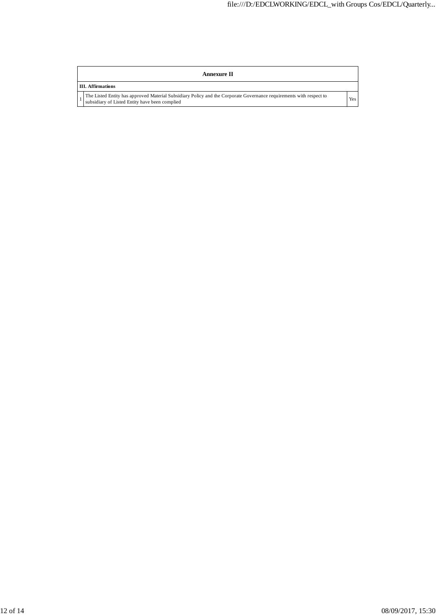| Annexure II                                                                                                                                                           |     |  |  |  |  |
|-----------------------------------------------------------------------------------------------------------------------------------------------------------------------|-----|--|--|--|--|
| <b>III.</b> Affirmations                                                                                                                                              |     |  |  |  |  |
| The Listed Entity has approved Material Subsidiary Policy and the Corporate Governance requirements with respect to<br>subsidiary of Listed Entity have been complied | Yes |  |  |  |  |